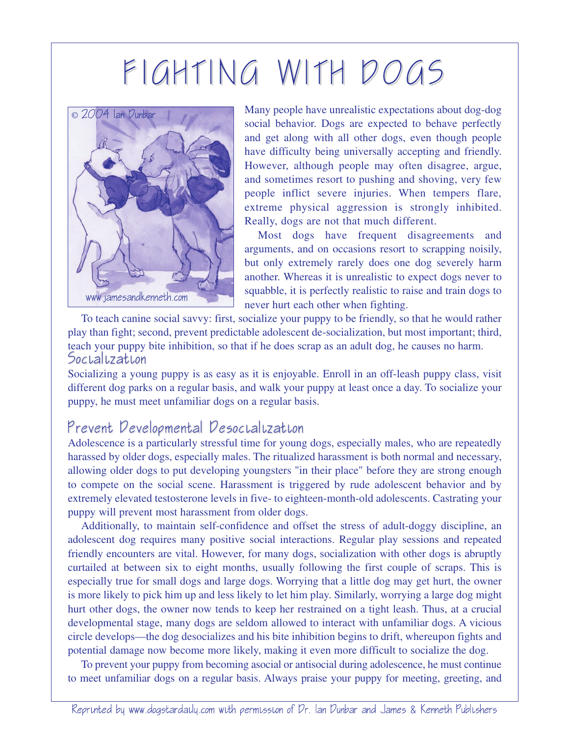## FIGHTING WITH DOGS



Many people have unrealistic expectations about dog-dog social behavior. Dogs are expected to behave perfectly and get along with all other dogs, even though people have difficulty being universally accepting and friendly. However, although people may often disagree, argue, and sometimes resort to pushing and shoving, very few people inflict severe injuries. When tempers flare, extreme physical aggression is strongly inhibited. Really, dogs are not that much different.

Most dogs have frequent disagreements and arguments, and on occasions resort to scrapping noisily, but only extremely rarely does one dog severely harm another. Whereas it is unrealistic to expect dogs never to squabble, it is perfectly realistic to raise and train dogs to never hurt each other when fighting.

To teach canine social savvy: first, socialize your puppy to be friendly, so that he would rather play than fight; second, prevent predictable adolescent de-socialization, but most important; third, teach your puppy bite inhibition, so that if he does scrap as an adult dog, he causes no harm. Socialization

Socializing a young puppy is as easy as it is enjoyable. Enroll in an off-leash puppy class, visit different dog parks on a regular basis, and walk your puppy at least once a day. To socialize your puppy, he must meet unfamiliar dogs on a regular basis.

## Prevent Developmental Desocialization

Adolescence is a particularly stressful time for young dogs, especially males, who are repeatedly harassed by older dogs, especially males. The ritualized harassment is both normal and necessary, allowing older dogs to put developing youngsters "in their place" before they are strong enough to compete on the social scene. Harassment is triggered by rude adolescent behavior and by extremely elevated testosterone levels in five- to eighteen-month-old adolescents. Castrating your puppy will prevent most harassment from older dogs.

Additionally, to maintain self-confidence and offset the stress of adult-doggy discipline, an adolescent dog requires many positive social interactions. Regular play sessions and repeated friendly encounters are vital. However, for many dogs, socialization with other dogs is abruptly curtailed at between six to eight months, usually following the first couple of scraps. This is especially true for small dogs and large dogs. Worrying that a little dog may get hurt, the owner is more likely to pick him up and less likely to let him play. Similarly, worrying a large dog might hurt other dogs, the owner now tends to keep her restrained on a tight leash. Thus, at a crucial developmental stage, many dogs are seldom allowed to interact with unfamiliar dogs. A vicious circle develops—the dog desocializes and his bite inhibition begins to drift, whereupon fights and potential damage now become more likely, making it even more difficult to socialize the dog.

To prevent your puppy from becoming asocial or antisocial during adolescence, he must continue to meet unfamiliar dogs on a regular basis. Always praise your puppy for meeting, greeting, and